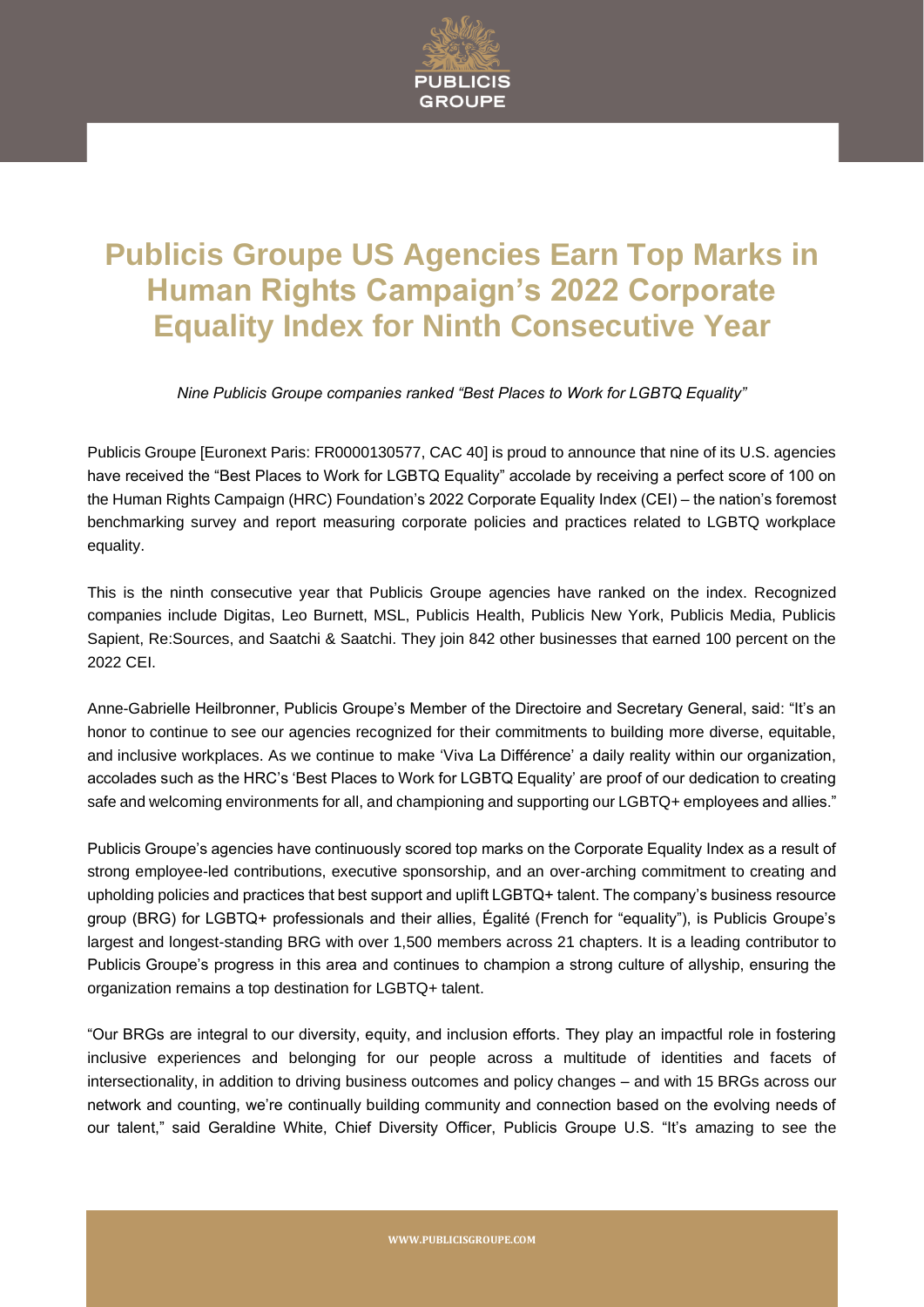

## **Publicis Groupe US Agencies Earn Top Marks in Human Rights Campaign's 2022 Corporate Equality Index for Ninth Consecutive Year**

*Nine Publicis Groupe companies ranked "Best Places to Work for LGBTQ Equality"*

Publicis Groupe [Euronext Paris: FR0000130577, CAC 40] is proud to announce that nine of its U.S. agencies have received the "Best Places to Work for LGBTQ Equality" accolade by receiving a perfect score of 100 on the Human Rights Campaign (HRC) Foundation's 2022 Corporate Equality Index (CEI) – the nation's foremost benchmarking survey and report measuring corporate policies and practices related to LGBTQ workplace equality.

This is the ninth consecutive year that Publicis Groupe agencies have ranked on the index. Recognized companies include Digitas, Leo Burnett, MSL, Publicis Health, Publicis New York, Publicis Media, Publicis Sapient, Re:Sources, and Saatchi & Saatchi. They join 842 other businesses that earned 100 percent on the 2022 CEI.

Anne-Gabrielle Heilbronner, Publicis Groupe's Member of the Directoire and Secretary General, said: "It's an honor to continue to see our agencies recognized for their commitments to building more diverse, equitable, and inclusive workplaces. As we continue to make 'Viva La Différence' a daily reality within our organization, accolades such as the HRC's 'Best Places to Work for LGBTQ Equality' are proof of our dedication to creating safe and welcoming environments for all, and championing and supporting our LGBTQ+ employees and allies."

Publicis Groupe's agencies have continuously scored top marks on the Corporate Equality Index as a result of strong employee-led contributions, executive sponsorship, and an over-arching commitment to creating and upholding policies and practices that best support and uplift LGBTQ+ talent. The company's business resource group (BRG) for LGBTQ+ professionals and their allies, Égalité (French for "equality"), is Publicis Groupe's largest and longest-standing BRG with over 1,500 members across 21 chapters. It is a leading contributor to Publicis Groupe's progress in this area and continues to champion a strong culture of allyship, ensuring the organization remains a top destination for LGBTQ+ talent.

"Our BRGs are integral to our diversity, equity, and inclusion efforts. They play an impactful role in fostering inclusive experiences and belonging for our people across a multitude of identities and facets of intersectionality, in addition to driving business outcomes and policy changes – and with 15 BRGs across our network and counting, we're continually building community and connection based on the evolving needs of our talent," said Geraldine White, Chief Diversity Officer, Publicis Groupe U.S. "It's amazing to see the